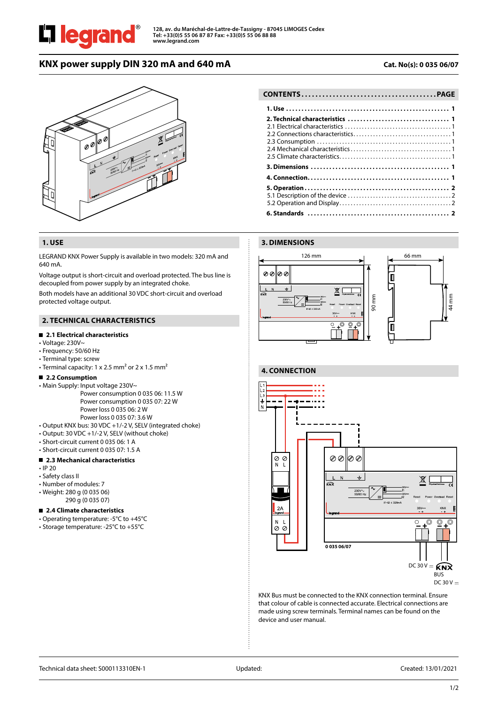<span id="page-0-0"></span>

# **KNX power supply DIN 320 mA and 640 mA Cat. No(s): 0 035 06/07** Cat. No(s): 0 035 06/07



## **1. USE**

LEGRAND KNX Power Supply is available in two models: 320 mA and 640 mA.

Voltage output is short-circuit and overload protected. The bus line is decoupled from power supply by an integrated choke.

Both models have an additional 30 VDC short-circuit and overload protected voltage output.

## **2. TECHNICAL CHARACTERISTICS**

### **2.1 Electrical characteristics**

- Voltage: 230V~
- Frequency: 50/60 Hz
- Terminal type: screw
- Terminal capacity: 1 x 2.5 mm<sup>2</sup> or 2 x 1.5 mm<sup>2</sup>

## **2.2 Consumption**

- Main Supply: Input voltage 230V~ Power consumption 0 035 06: 11.5 W Power consumption 0 035 07: 22 W Power loss 0 035 06: 2 W Power loss 0 035 07: 3.6 W
- Output KNX bus: 30 VDC +1/-2 V, SELV (integrated choke)
- Output: 30 VDC +1/-2 V, SELV (without choke)
- Short-circuit current 0 035 06: 1 A
- Short-circuit current 0 035 07: 1.5 A

### **2.3 Mechanical characteristics**

- IP 20
- Safety class II
- Number of modules: 7 • Weight: 280 g (0 035 06)
- 290 g (0 035 07)
- **2.4 Climate characteristics**
- Operating temperature: -5°C to +45°C
- Storage temperature: -25°C to +55°C
- **CONTENTS . . . . . . . . . . . . . . . . . . . . . . . . . . . . . . . . . . . . . . PAGE 1. Use . . . . . . . . . . . . . . . . . . . . . . . . . . . . . . . . . . . . . . . . . . . . . . . . . . . . . 1 2. Technical characteristics . . . . . . . . . . . . . . . . . . . . . . . . . . . . . . . . . 1** 2.1 Electrical characteristics . 1 2.2 Connections characteristics. . 1 2.3 Consumption. . 1 2.4 Mechanical characteristics. . 1 2.5 Climate characteristics. . 1  **3. Dimensions . . . . . . . . . . . . . . . . . . . . . . . . . . . . . . . . . . . . . . . . . . . . . 1 4. Connection . . . . . . . . . . . . . . . . . . . . . . . . . . . . . . . . . . . . . . . . . . . . . . 1  [5. Operation . . . . . . . . . . . . . . . . . . . . . . . . . . . . . . . . . . . . . . . . . . . . . . .](#page-1-0) 2** [5.1 Description of the device. . 2](#page-1-0) [5.2 Operation and Display. . 2](#page-1-0)
- **[6. Standards . . . . . . . . . . . . . . . . . . . . . . . . . . . . . . . . . . . . . . . . . . . . . .](#page-1-0) 2**





KNX Bus must be connected to the KNX connection terminal. Ensure that colour of cable is connected accurate. Electrical connections are made using screw terminals. Terminal names can be found on the device and user manual.